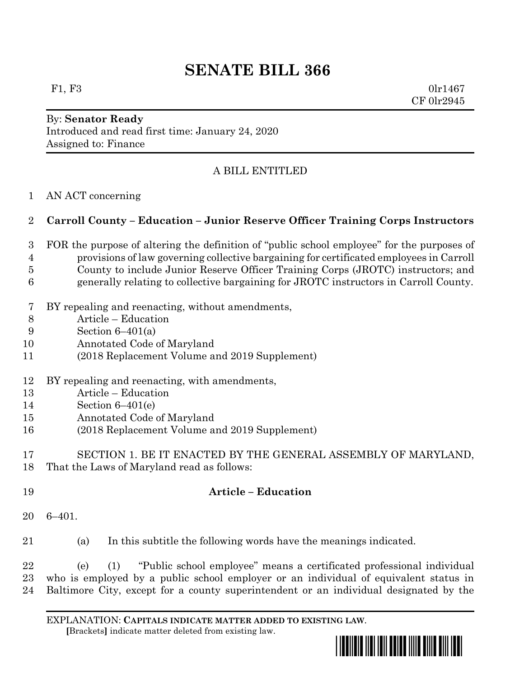# **SENATE BILL 366**

F1, F3 0lr1467 CF 0lr2945

#### By: **Senator Ready** Introduced and read first time: January 24, 2020 Assigned to: Finance

## A BILL ENTITLED

#### AN ACT concerning

#### **Carroll County – Education – Junior Reserve Officer Training Corps Instructors**

- FOR the purpose of altering the definition of "public school employee" for the purposes of provisions of law governing collective bargaining for certificated employees in Carroll County to include Junior Reserve Officer Training Corps (JROTC) instructors; and generally relating to collective bargaining for JROTC instructors in Carroll County.
- BY repealing and reenacting, without amendments,
- Article Education
- Section 6–401(a)
- Annotated Code of Maryland
- (2018 Replacement Volume and 2019 Supplement)
- BY repealing and reenacting, with amendments,
- Article Education
- Section 6–401(e)
- Annotated Code of Maryland
- (2018 Replacement Volume and 2019 Supplement)
- SECTION 1. BE IT ENACTED BY THE GENERAL ASSEMBLY OF MARYLAND, That the Laws of Maryland read as follows:
- **Article – Education**
- 6–401.
- (a) In this subtitle the following words have the meanings indicated.

 (e) (1) "Public school employee" means a certificated professional individual who is employed by a public school employer or an individual of equivalent status in Baltimore City, except for a county superintendent or an individual designated by the

EXPLANATION: **CAPITALS INDICATE MATTER ADDED TO EXISTING LAW**.  **[**Brackets**]** indicate matter deleted from existing law.